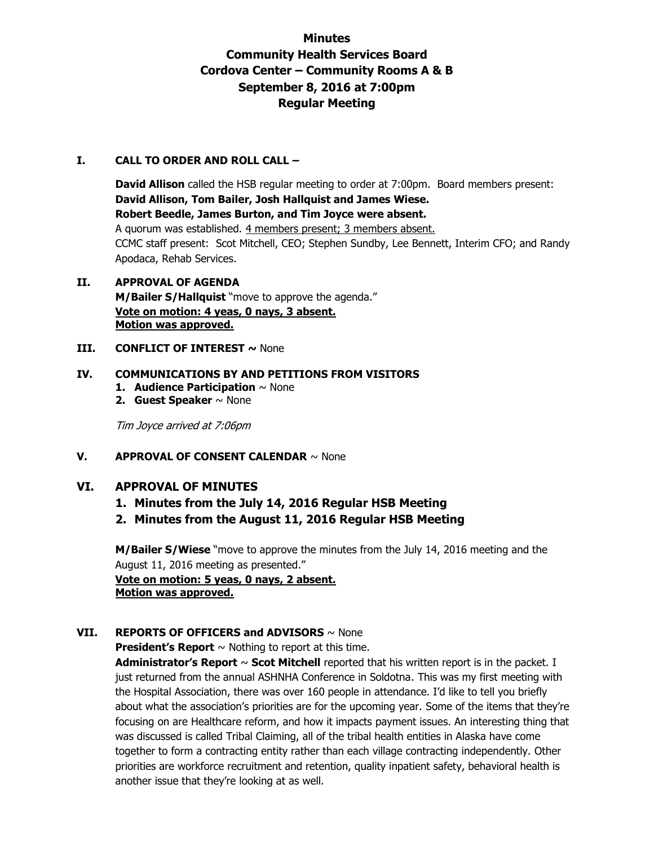# **Minutes Community Health Services Board Cordova Center – Community Rooms A & B September 8, 2016 at 7:00pm Regular Meeting**

#### **I. CALL TO ORDER AND ROLL CALL –**

**David Allison** called the HSB regular meeting to order at 7:00pm. Board members present: **David Allison, Tom Bailer, Josh Hallquist and James Wiese. Robert Beedle, James Burton, and Tim Joyce were absent.**  A quorum was established. 4 members present; 3 members absent. CCMC staff present: Scot Mitchell, CEO; Stephen Sundby, Lee Bennett, Interim CFO; and Randy Apodaca, Rehab Services.

#### **II. APPROVAL OF AGENDA M/Bailer S/Hallquist** "move to approve the agenda." **Vote on motion: 4 yeas, 0 nays, 3 absent. Motion was approved.**

**III. CONFLICT OF INTEREST ~ None** 

#### **IV. COMMUNICATIONS BY AND PETITIONS FROM VISITORS**

- **1. Audience Participation** ~ None
- **2. Guest Speaker** ~ None

Tim Joyce arrived at 7:06pm

# **V. APPROVAL OF CONSENT CALENDAR** ~ None

# **VI. APPROVAL OF MINUTES**

- **1. Minutes from the July 14, 2016 Regular HSB Meeting**
- **2. Minutes from the August 11, 2016 Regular HSB Meeting**

**M/Bailer S/Wiese** "move to approve the minutes from the July 14, 2016 meeting and the August 11, 2016 meeting as presented." **Vote on motion: 5 yeas, 0 nays, 2 absent.** 

**Motion was approved.**

# **VII. REPORTS OF OFFICERS and ADVISORS** ~ None

**President's Report**  $\sim$  Nothing to report at this time.

**Administrator's Report** ~ **Scot Mitchell** reported that his written report is in the packet. I just returned from the annual ASHNHA Conference in Soldotna. This was my first meeting with the Hospital Association, there was over 160 people in attendance. I'd like to tell you briefly about what the association's priorities are for the upcoming year. Some of the items that they're focusing on are Healthcare reform, and how it impacts payment issues. An interesting thing that was discussed is called Tribal Claiming, all of the tribal health entities in Alaska have come together to form a contracting entity rather than each village contracting independently. Other priorities are workforce recruitment and retention, quality inpatient safety, behavioral health is another issue that they're looking at as well.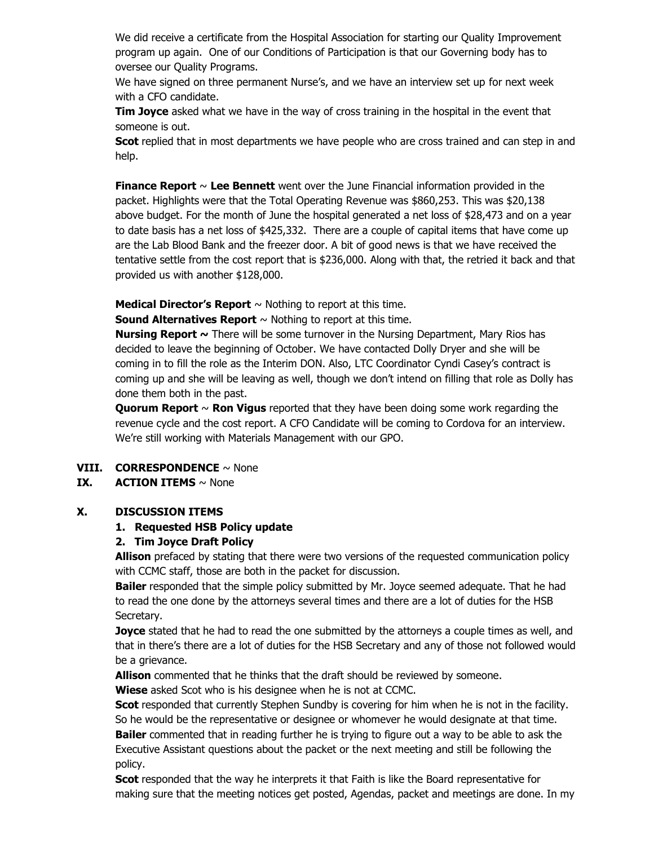We did receive a certificate from the Hospital Association for starting our Quality Improvement program up again. One of our Conditions of Participation is that our Governing body has to oversee our Quality Programs.

We have signed on three permanent Nurse's, and we have an interview set up for next week with a CFO candidate.

**Tim Joyce** asked what we have in the way of cross training in the hospital in the event that someone is out.

**Scot** replied that in most departments we have people who are cross trained and can step in and help.

**Finance Report** ~ **Lee Bennett** went over the June Financial information provided in the packet. Highlights were that the Total Operating Revenue was \$860,253. This was \$20,138 above budget. For the month of June the hospital generated a net loss of \$28,473 and on a year to date basis has a net loss of \$425,332. There are a couple of capital items that have come up are the Lab Blood Bank and the freezer door. A bit of good news is that we have received the tentative settle from the cost report that is \$236,000. Along with that, the retried it back and that provided us with another \$128,000.

**Medical Director's Report**  $\sim$  Nothing to report at this time.

**Sound Alternatives Report** ~ Nothing to report at this time.

**Nursing Report ~** There will be some turnover in the Nursing Department, Mary Rios has decided to leave the beginning of October. We have contacted Dolly Dryer and she will be coming in to fill the role as the Interim DON. Also, LTC Coordinator Cyndi Casey's contract is coming up and she will be leaving as well, though we don't intend on filling that role as Dolly has done them both in the past.

**Quorum Report** ~ **Ron Vigus** reported that they have been doing some work regarding the revenue cycle and the cost report. A CFO Candidate will be coming to Cordova for an interview. We're still working with Materials Management with our GPO.

# **VIII. CORRESPONDENCE** ~ None

# **IX. ACTION ITEMS**  $\sim$  None

#### **X. DISCUSSION ITEMS**

# **1. Requested HSB Policy update**

# **2. Tim Joyce Draft Policy**

**Allison** prefaced by stating that there were two versions of the requested communication policy with CCMC staff, those are both in the packet for discussion.

**Bailer** responded that the simple policy submitted by Mr. Joyce seemed adequate. That he had to read the one done by the attorneys several times and there are a lot of duties for the HSB Secretary.

**Joyce** stated that he had to read the one submitted by the attorneys a couple times as well, and that in there's there are a lot of duties for the HSB Secretary and any of those not followed would be a grievance.

**Allison** commented that he thinks that the draft should be reviewed by someone.

**Wiese** asked Scot who is his designee when he is not at CCMC.

**Scot** responded that currently Stephen Sundby is covering for him when he is not in the facility. So he would be the representative or designee or whomever he would designate at that time. **Bailer** commented that in reading further he is trying to figure out a way to be able to ask the Executive Assistant questions about the packet or the next meeting and still be following the policy.

**Scot** responded that the way he interprets it that Faith is like the Board representative for making sure that the meeting notices get posted, Agendas, packet and meetings are done. In my